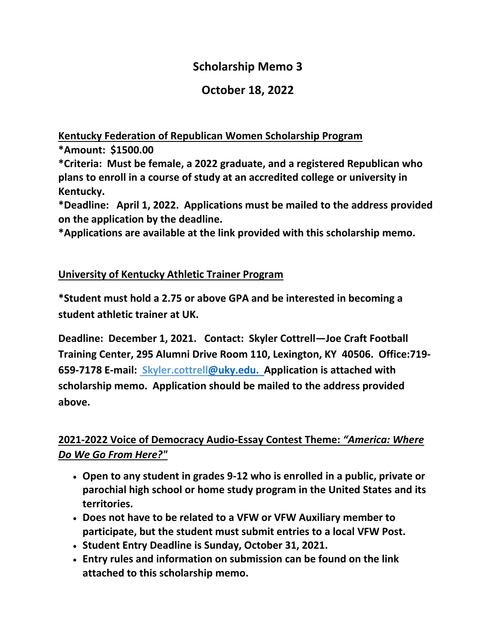# **Scholarship Memo 3**

## **October 18, 2022**

**Kentucky Federation of Republican Women Scholarship Program**

**\*Amount: \$1500.00 \*Criteria: Must be female, a 2022 graduate, and a registered Republican who plans to enroll in a course of study at an accredited college or university in Kentucky.**

**\*Deadline: April 1, 2022. Applications must be mailed to the address provided on the application by the deadline.**

**\*Applications are available at the link provided with this scholarship memo.**

#### **University of Kentucky Athletic Trainer Program**

**\*Student must hold a 2.75 or above GPA and be interested in becoming a student athletic trainer at UK.**

**Deadline: December 1, 2021. Contact: Skyler Cottrell—Joe Craft Football Training Center, 295 Alumni Drive Room 110, Lexington, KY 40506. Office:719- 659-7178 E-mail: Skyler.cottrel[l@uky.edu.](mailto:alex.green22@uky.edu) Application is attached with scholarship memo. Application should be mailed to the address provided above.**

### **2021-2022 Voice of Democracy Audio-Essay Contest Theme:** *"America: Where Do We Go From Here?"*

- **Open to any student in grades 9-12 who is enrolled in a public, private or parochial high school or home study program in the United States and its territories.**
- **Does not have to be related to a VFW or VFW Auxiliary member to participate, but the student must submit entries to a local VFW Post.**
- **Student Entry Deadline is Sunday, October 31, 2021.**
- **Entry rules and information on submission can be found on the link attached to this scholarship memo.**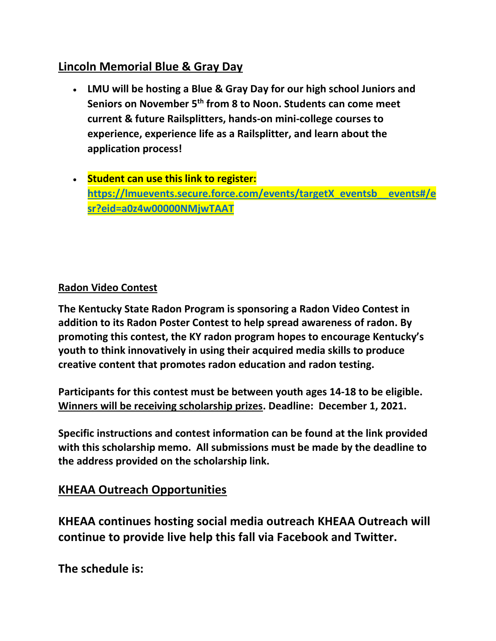## **Lincoln Memorial Blue & Gray Day**

- **LMU will be hosting a Blue & Gray Day for our high school Juniors and Seniors on November 5th from 8 to Noon. Students can come meet current & future Railsplitters, hands-on mini-college courses to experience, experience life as a Railsplitter, and learn about the application process!**
- **Student can use this link to register: [https://lmuevents.secure.force.com/events/targetX\\_eventsb\\_\\_events#/e](https://lmuevents.secure.force.com/events/targetX_eventsb__events#/esr?eid=a0z4w00000NMjwTAAT) [sr?eid=a0z4w00000NMjwTAAT](https://lmuevents.secure.force.com/events/targetX_eventsb__events#/esr?eid=a0z4w00000NMjwTAAT)**

### **Radon Video Contest**

**The Kentucky State Radon Program is sponsoring a Radon Video Contest in addition to its Radon Poster Contest to help spread awareness of radon. By promoting this contest, the KY radon program hopes to encourage Kentucky's youth to think innovatively in using their acquired media skills to produce creative content that promotes radon education and radon testing.** 

**Participants for this contest must be between youth ages 14-18 to be eligible. Winners will be receiving scholarship prizes. Deadline: December 1, 2021.**

**Specific instructions and contest information can be found at the link provided with this scholarship memo. All submissions must be made by the deadline to the address provided on the scholarship link.**

### **KHEAA Outreach Opportunities**

**KHEAA continues hosting social media outreach KHEAA Outreach will continue to provide live help this fall via Facebook and Twitter.** 

**The schedule is:**